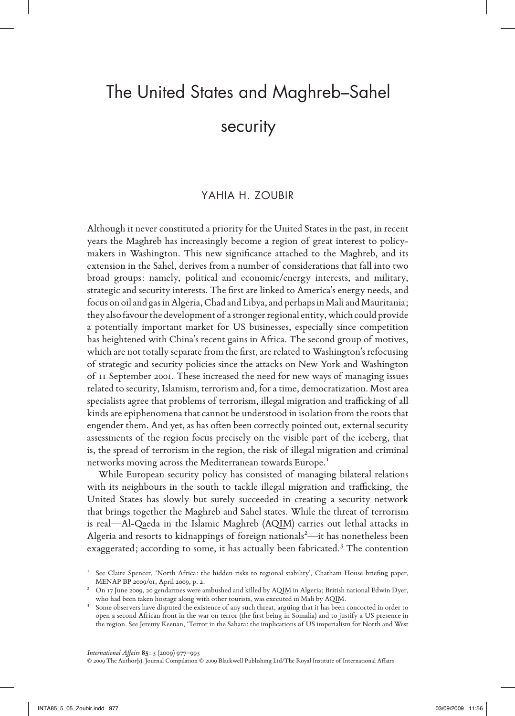# YAHIA H. ZOUBIR

Although it never constituted a priority for the United States in the past, in recent years the Maghreb has increasingly become a region of great interest to policymakers in Washington. This new significance attached to the Maghreb, and its extension in the Sahel, derives from a number of considerations that fall into two broad groups: namely, political and economic/energy interests, and military, strategic and security interests. The first are linked to America's energy needs, and focus on oil and gas in Algeria, Chad and Libya, and perhaps in Mali and Mauritania; they also favour the development of a stronger regional entity, which could provide a potentially important market for US businesses, especially since competition has heightened with China's recent gains in Africa. The second group of motives, which are not totally separate from the first, are related to Washington's refocusing of strategic and security policies since the attacks on New York and Washington of 11 September 2001. These increased the need for new ways of managing issues related to security, Islamism, terrorism and, for a time, democratization. Most area specialists agree that problems of terrorism, illegal migration and trafficking of all kinds are epiphenomena that cannot be understood in isolation from the roots that engender them. And yet, as has often been correctly pointed out, external security assessments of the region focus precisely on the visible part of the iceberg, that is, the spread of terrorism in the region, the risk of illegal migration and criminal networks moving across the Mediterranean towards Europe.<sup>1</sup>

While European security policy has consisted of managing bilateral relations with its neighbours in the south to tackle illegal migration and trafficking, the United States has slowly but surely succeeded in creating a security network that brings together the Maghreb and Sahel states. While the threat of terrorism is real—Al-Qaeda in the Islamic Maghreb (AQIM) carries out lethal attacks in Algeria and resorts to kidnappings of foreign nationals<sup>2</sup>-it has nonetheless been exaggerated; according to some, it has actually been fabricated.<sup>3</sup> The contention

*International Affairs* **85**: 5 (2009) 977–995

See Claire Spencer, 'North Africa: the hidden risks to regional stability', Chatham House briefing paper,

MENAP BP 2009/01, April 2009, p. 2.<br><sup>2</sup> On 17 June 2009, 20 gendarmes were ambushed and killed by AQIM in Algeria; British national Edwin Dyer,<br>who had been taken hostage along with other tourists, was executed in Mali by

<sup>&</sup>lt;sup>3</sup> Some observers have disputed the existence of any such threat, arguing that it has been concocted in order to open a second African front in the war on terror (the first being in Somalia) and to justify a US presence in the region. See Jeremy Keenan, 'Terror in the Sahara: the implications of US imperialism for North and West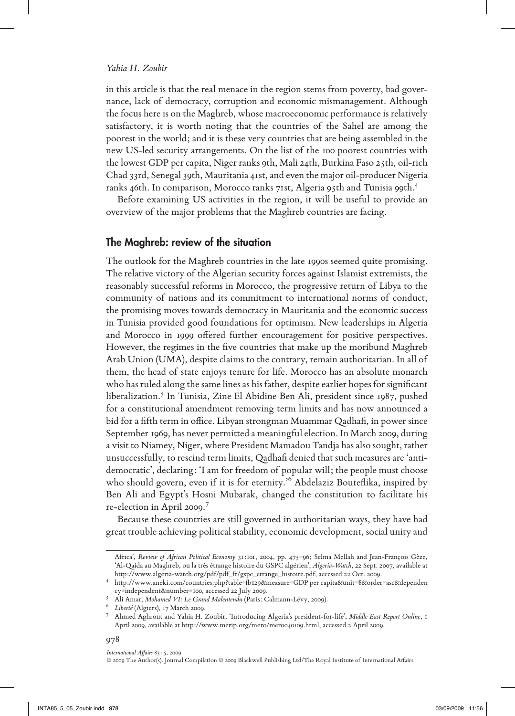in this article is that the real menace in the region stems from poverty, bad governance, lack of democracy, corruption and economic mismanagement. Although the focus here is on the Maghreb, whose macroeconomic performance is relatively satisfactory, it is worth noting that the countries of the Sahel are among the poorest in the world; and it is these very countries that are being assembled in the new US-led security arrangements. On the list of the 100 poorest countries with the lowest GDP per capita, Niger ranks 9th, Mali 24th, Burkina Faso 25th, oil-rich Chad 33rd, Senegal 39th, Mauritania 41st, and even the major oil-producer Nigeria ranks 46th. In comparison, Morocco ranks 71st, Algeria 95th and Tunisia 99th.4

Before examining US activities in the region, it will be useful to provide an overview of the major problems that the Maghreb countries are facing.

## The Maghreb: review of the situation

The outlook for the Maghreb countries in the late 1990s seemed quite promising. The relative victory of the Algerian security forces against Islamist extremists, the reasonably successful reforms in Morocco, the progressive return of Libya to the community of nations and its commitment to international norms of conduct, the promising moves towards democracy in Mauritania and the economic success in Tunisia provided good foundations for optimism. New leaderships in Algeria and Morocco in 1999 offered further encouragement for positive perspectives. However, the regimes in the five countries that make up the moribund Maghreb Arab Union (UMA), despite claims to the contrary, remain authoritarian. In all of them, the head of state enjoys tenure for life. Morocco has an absolute monarch who has ruled along the same lines as his father, despite earlier hopes for significant liberalization.<sup>5</sup> In Tunisia, Zine El Abidine Ben Ali, president since 1987, pushed for a constitutional amendment removing term limits and has now announced a bid for a fifth term in office. Libyan strongman Muammar Qadhafi, in power since September 1969, has never permitted a meaningful election. In March 2009, during a visit to Niamey, Niger, where President Mamadou Tandja has also sought, rather unsuccessfully, to rescind term limits, Qadhafi denied that such measures are 'antidemocratic', declaring: 'I am for freedom of popular will; the people must choose who should govern, even if it is for eternity.<sup>'6</sup> Abdelaziz Bouteflika, inspired by Ben Ali and Egypt's Hosni Mubarak, changed the constitution to facilitate his re-election in April 2009.7

Because these countries are still governed in authoritarian ways, they have had great trouble achieving political stability, economic development, social unity and

Africa', *Review of African Political Economy* 31:101, 2004, pp. 475–96; Selma Mellah and Jean-François Gèze, 'Al-Qaida au Maghreb, ou la très étrange histoire du GSPC algérien', *Algeria-Watch*, 22 Sept. 2007, available at

http://www.algeria-watch.org/pdf/pdf\_fr/gspc\_etrange\_histoire.pdf, accessed 22 Oct. 2009. <sup>4</sup> http://www.aneki.com/countries.php?table=fb129&measure=GDP per capita&unit=\$&order=asc&dependen cy=independent&number=100, accessed 22 July 2009.<br>
S Ali Amar, *Mohamed VI: Le Grand Malentendu* (Paris: Calmann-Lévy, 2009).<br>
6 *Liberté* (Algiers), 17 March 2009.<br>
7 Ahmed Aghrout and Yahia H. Zoubir, 'Introducing Algeri

April 2009, available at http://www.merip.org/mero/mero040109.html, accessed 2 April 2009.

*International Affairs* 85: 5, 2009

<sup>© 2009</sup> The Author(s). Journal Compilation © 2009 Blackwell Publishing Ltd/The Royal Institute of International Affairs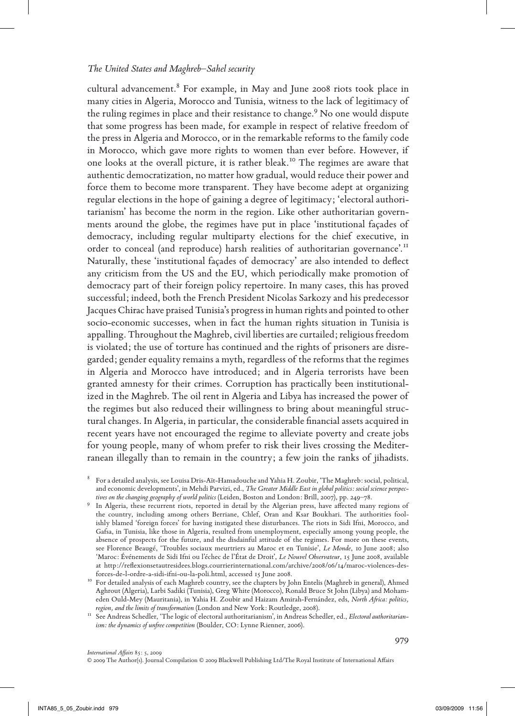cultural advancement.<sup>8</sup> For example, in May and June 2008 riots took place in many cities in Algeria, Morocco and Tunisia, witness to the lack of legitimacy of the ruling regimes in place and their resistance to change.<sup>9</sup> No one would dispute that some progress has been made, for example in respect of relative freedom of the press in Algeria and Morocco, or in the remarkable reforms to the family code in Morocco, which gave more rights to women than ever before. However, if one looks at the overall picture, it is rather bleak.10 The regimes are aware that authentic democratization, no matter how gradual, would reduce their power and force them to become more transparent. They have become adept at organizing regular elections in the hope of gaining a degree of legitimacy; 'electoral authoritarianism' has become the norm in the region. Like other authoritarian governments around the globe, the regimes have put in place 'institutional façades of democracy, including regular multiparty elections for the chief executive, in order to conceal (and reproduce) harsh realities of authoritarian governance'.<sup>11</sup> Naturally, these 'institutional façades of democracy' are also intended to deflect any criticism from the US and the EU, which periodically make promotion of democracy part of their foreign policy repertoire. In many cases, this has proved successful; indeed, both the French President Nicolas Sarkozy and his predecessor Jacques Chirac have praised Tunisia's progress in human rights and pointed to other socio-economic successes, when in fact the human rights situation in Tunisia is appalling. Throughout the Maghreb, civil liberties are curtailed; religious freedom is violated; the use of torture has continued and the rights of prisoners are disregarded; gender equality remains a myth, regardless of the reforms that the regimes in Algeria and Morocco have introduced; and in Algeria terrorists have been granted amnesty for their crimes. Corruption has practically been institutionalized in the Maghreb. The oil rent in Algeria and Libya has increased the power of the regimes but also reduced their willingness to bring about meaningful structural changes. In Algeria, in particular, the considerable financial assets acquired in recent years have not encouraged the regime to alleviate poverty and create jobs for young people, many of whom prefer to risk their lives crossing the Mediterranean illegally than to remain in the country; a few join the ranks of jihadists.

<sup>8</sup> For a detailed analysis, see Louisa Dris-Aït-Hamadouche and Yahia H. Zoubir, 'The Maghreb: social, political, and economic developments', in Mehdi Parvizi, ed., *The Greater Middle East in global politics: social science perspec-*

- *tives on the changing geography of world politics* (Leiden, Boston and London: Brill, 2007), pp. 249–78. <sup>9</sup> In Algeria, these recurrent riots, reported in detail by the Algerian press, have affected many regions of the country, including among others Berriane, Chlef, Oran and Ksar Boukhari. The authorities foolishly blamed 'foreign forces' for having instigated these disturbances. The riots in Sidi Ifni, Morocco, and Gafsa, in Tunisia, like those in Algeria, resulted from unemployment, especially among young people, the absence of prospects for the future, and the disdainful attitude of the regimes. For more on these events, see Florence Beaugé, 'Troubles sociaux meurtriers au Maroc et en Tunisie', *Le Monde*, 10 June 2008; also 'Maroc: Événements de Sidi Ifni ou l'échec de l'État de Droit', *Le Nouvel Observateur*, 15 June 2008, available at http://reflexionsetautresidees.blogs.courrierinternational.com/archive/2008/06/14/maroc-violences-des-
- forces-de-l-ordre-a-sidi-ifni-ou-la-poli.html, accessed 15 June 2008.<br><sup>10</sup> For detailed analysis of each Maghreb country, see the chapters by John Entelis (Maghreb in general), Ahmed Aghrout (Algeria), Larbi Sadiki (Tunisia), Greg White (Morocco), Ronald Bruce St John (Libya) and Mohameden Ould-Mey (Mauritania), in Yahia H. Zoubir and Haizam Amirah-Fernández, eds, *North Africa: politics,*
- *region, and the limits of transformation* (London and New York: Routledge, 2008). <sup>11</sup> See Andreas Schedler, 'The logic of electoral authoritarianism', in Andreas Schedler, ed., *Electoral authoritarianism: the dynamics of unfree competition* (Boulder, CO: Lynne Rienner, 2006).

*International Affairs* 85: 5, 2009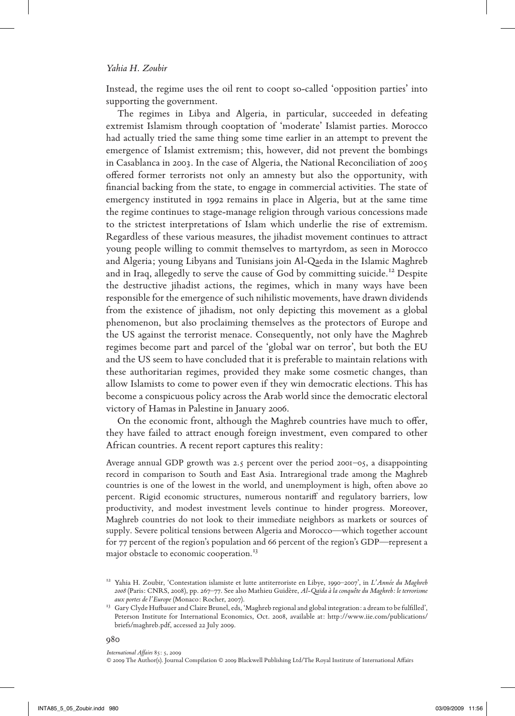Instead, the regime uses the oil rent to coopt so-called 'opposition parties' into supporting the government.

The regimes in Libya and Algeria, in particular, succeeded in defeating extremist Islamism through cooptation of 'moderate' Islamist parties. Morocco had actually tried the same thing some time earlier in an attempt to prevent the emergence of Islamist extremism; this, however, did not prevent the bombings in Casablanca in 2003. In the case of Algeria, the National Reconciliation of 2005 offered former terrorists not only an amnesty but also the opportunity, with financial backing from the state, to engage in commercial activities. The state of emergency instituted in 1992 remains in place in Algeria, but at the same time the regime continues to stage-manage religion through various concessions made to the strictest interpretations of Islam which underlie the rise of extremism. Regardless of these various measures, the jihadist movement continues to attract young people willing to commit themselves to martyrdom, as seen in Morocco and Algeria; young Libyans and Tunisians join Al-Qaeda in the Islamic Maghreb and in Iraq, allegedly to serve the cause of God by committing suicide.<sup>12</sup> Despite the destructive jihadist actions, the regimes, which in many ways have been responsible for the emergence of such nihilistic movements, have drawn dividends from the existence of jihadism, not only depicting this movement as a global phenomenon, but also proclaiming themselves as the protectors of Europe and the US against the terrorist menace. Consequently, not only have the Maghreb regimes become part and parcel of the 'global war on terror', but both the EU and the US seem to have concluded that it is preferable to maintain relations with these authoritarian regimes, provided they make some cosmetic changes, than allow Islamists to come to power even if they win democratic elections. This has become a conspicuous policy across the Arab world since the democratic electoral victory of Hamas in Palestine in January 2006.

On the economic front, although the Maghreb countries have much to offer, they have failed to attract enough foreign investment, even compared to other African countries. A recent report captures this reality:

Average annual GDP growth was 2.5 percent over the period 2001–05, a disappointing record in comparison to South and East Asia. Intraregional trade among the Maghreb countries is one of the lowest in the world, and unemployment is high, often above 20 percent. Rigid economic structures, numerous nontariff and regulatory barriers, low productivity, and modest investment levels continue to hinder progress. Moreover, Maghreb countries do not look to their immediate neighbors as markets or sources of supply. Severe political tensions between Algeria and Morocco—which together account for 77 percent of the region's population and 66 percent of the region's GDP—represent a major obstacle to economic cooperation.<sup>13</sup>

#### 980

<sup>12</sup> Yahia H. Zoubir, 'Contestation islamiste et lutte antiterroriste en Libye, 1990–2007', in *L'Année du Maghreb 2008* (Paris: CNRS, 2008), pp. 267–77. See also Mathieu Guidère, *Al-Qaïda à la conquête du Maghreb: le terrorisme* 

<sup>&</sup>lt;sup>13</sup> Gary Clyde Hufbauer and Claire Brunel, eds, 'Maghreb regional and global integration: a dream to be fulfilled', Peterson Institute for International Economics, Oct. 2008, available at: http://www.iie.com/publications/ briefs/maghreb.pdf, accessed 22 July 2009.

*International Affairs* 85: 5, 2009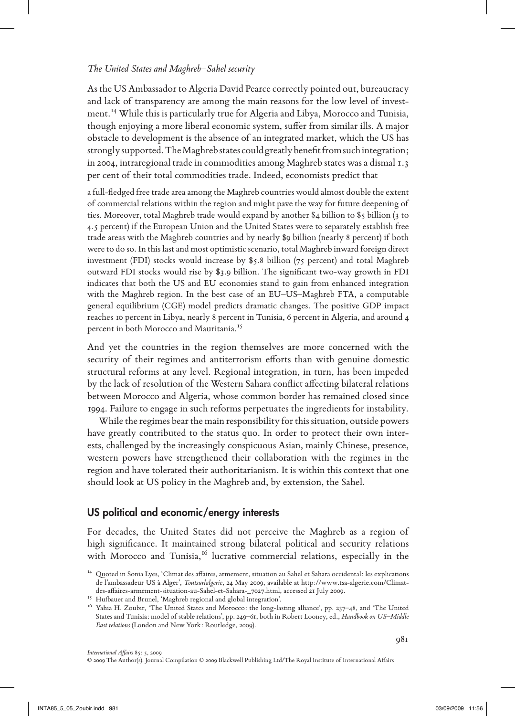As the US Ambassador to Algeria David Pearce correctly pointed out, bureaucracy and lack of transparency are among the main reasons for the low level of investment.14 While this is particularly true for Algeria and Libya, Morocco and Tunisia, though enjoying a more liberal economic system, suffer from similar ills. A major obstacle to development is the absence of an integrated market, which the US has strongly supported. The Maghreb states could greatly benefit from such integration; in 2004, intraregional trade in commodities among Maghreb states was a dismal 1.3 per cent of their total commodities trade. Indeed, economists predict that

a full-fledged free trade area among the Maghreb countries would almost double the extent of commercial relations within the region and might pave the way for future deepening of ties. Moreover, total Maghreb trade would expand by another \$4 billion to \$5 billion (3 to 4.5 percent) if the European Union and the United States were to separately establish free trade areas with the Maghreb countries and by nearly \$9 billion (nearly 8 percent) if both were to do so. In this last and most optimistic scenario, total Maghreb inward foreign direct investment (FDI) stocks would increase by \$5.8 billion (75 percent) and total Maghreb outward FDI stocks would rise by \$3.9 billion. The significant two-way growth in FDI indicates that both the US and EU economies stand to gain from enhanced integration with the Maghreb region. In the best case of an EU–US–Maghreb FTA, a computable general equilibrium (CGE) model predicts dramatic changes. The positive GDP impact reaches 10 percent in Libya, nearly 8 percent in Tunisia, 6 percent in Algeria, and around 4 percent in both Morocco and Mauritania.15

And yet the countries in the region themselves are more concerned with the security of their regimes and antiterrorism efforts than with genuine domestic structural reforms at any level. Regional integration, in turn, has been impeded by the lack of resolution of the Western Sahara conflict affecting bilateral relations between Morocco and Algeria, whose common border has remained closed since 1994. Failure to engage in such reforms perpetuates the ingredients for instability.

While the regimes bear the main responsibility for this situation, outside powers have greatly contributed to the status quo. In order to protect their own interests, challenged by the increasingly conspicuous Asian, mainly Chinese, presence, western powers have strengthened their collaboration with the regimes in the region and have tolerated their authoritarianism. It is within this context that one should look at US policy in the Maghreb and, by extension, the Sahel.

# US political and economic/energy interests

For decades, the United States did not perceive the Maghreb as a region of high significance. It maintained strong bilateral political and security relations with Morocco and Tunisia,<sup>16</sup> lucrative commercial relations, especially in the

*International Affairs* 85: 5, 2009

<sup>14</sup> Quoted in Sonia Lyes, 'Climat des affaires, armement, situation au Sahel et Sahara occidental: les explications de l'ambassadeur US à Alger', *Toutsurlalgerie*, 24 May 2009, available at http://www.tsa-algerie.com/Climatdes-affaires-armement-situation-au-Sahel-et-Sahara-\_7027.html, accessed 21 July 2009.<br><sup>15</sup> Hufbauer and Brunel, 'Maghreb regional and global integration'.<br><sup>16</sup> Yahia H. Zoubir, 'The United States and Morocco: the long-las

States and Tunisia: model of stable relations', pp. 249–61, both in Robert Looney, ed., *Handbook on US–Middle East relations* (London and New York: Routledge, 2009).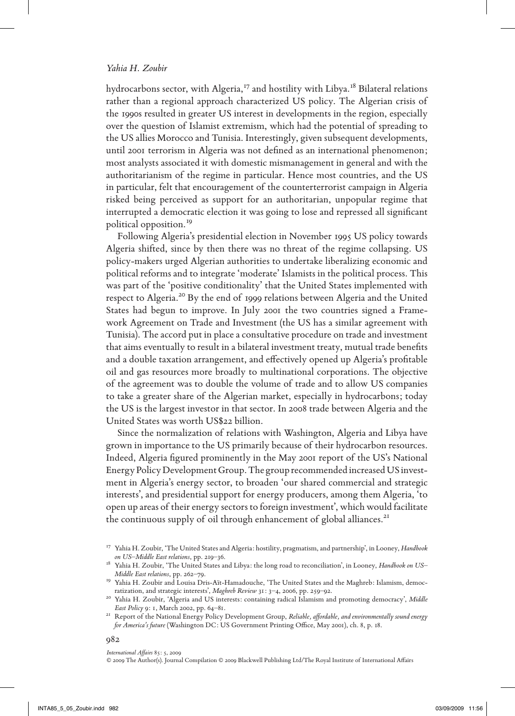hydrocarbons sector, with Algeria,<sup>17</sup> and hostility with Libya.<sup>18</sup> Bilateral relations rather than a regional approach characterized US policy. The Algerian crisis of the 1990s resulted in greater US interest in developments in the region, especially over the question of Islamist extremism, which had the potential of spreading to the US allies Morocco and Tunisia. Interestingly, given subsequent developments, until 2001 terrorism in Algeria was not defined as an international phenomenon; most analysts associated it with domestic mismanagement in general and with the authoritarianism of the regime in particular. Hence most countries, and the US in particular, felt that encouragement of the counterterrorist campaign in Algeria risked being perceived as support for an authoritarian, unpopular regime that interrupted a democratic election it was going to lose and repressed all significant political opposition.<sup>19</sup>

Following Algeria's presidential election in November 1995 US policy towards Algeria shifted, since by then there was no threat of the regime collapsing. US policy-makers urged Algerian authorities to undertake liberalizing economic and political reforms and to integrate 'moderate' Islamists in the political process. This was part of the 'positive conditionality' that the United States implemented with respect to Algeria.20 By the end of 1999 relations between Algeria and the United States had begun to improve. In July 2001 the two countries signed a Framework Agreement on Trade and Investment (the US has a similar agreement with Tunisia). The accord put in place a consultative procedure on trade and investment that aims eventually to result in a bilateral investment treaty, mutual trade benefits and a double taxation arrangement, and effectively opened up Algeria's profitable oil and gas resources more broadly to multinational corporations. The objective of the agreement was to double the volume of trade and to allow US companies to take a greater share of the Algerian market, especially in hydrocarbons; today the US is the largest investor in that sector. In 2008 trade between Algeria and the United States was worth US\$22 billion.

Since the normalization of relations with Washington, Algeria and Libya have grown in importance to the US primarily because of their hydrocarbon resources. Indeed, Algeria figured prominently in the May 2001 report of the US's National Energy Policy Development Group. The group recommended increased US investment in Algeria's energy sector, to broaden 'our shared commercial and strategic interests', and presidential support for energy producers, among them Algeria, 'to open up areas of their energy sectors to foreign investment', which would facilitate the continuous supply of oil through enhancement of global alliances.<sup>21</sup>

#### 982

*International Affairs* 85: 5, 2009

<sup>17</sup> Yahia H. Zoubir, 'The United States and Algeria: hostility, pragmatism, and partnership', in Looney, *Handbook on US–Middle East relations*, pp. 219–36. <sup>18</sup> Yahia H. Zoubir, 'The United States and Libya: the long road to reconciliation', in Looney, *Handbook on US–*

*Middle East relations*, pp. 262–79.<br><sup>19</sup> Yahia H. Zoubir and Louisa Dris-Aït-Hamadouche, 'The United States and the Maghreb: Islamism, democ-

ratization, and strategic interests', *Maghreb Review* 31: 3–4, 2006, pp. 259–92. <sup>20</sup> Yahia H. Zoubir, 'Algeria and US interests: containing radical Islamism and promoting democracy', *Middle* 

*East Policy* 9: 1, March 2002, pp. 64–81. <sup>21</sup> Report of the National Energy Policy Development Group, *Reliable, affordable, and environmentally sound energy* 

*for America's future* (Washington DC: US Government Printing Office, May 2001), ch. 8, p. 18.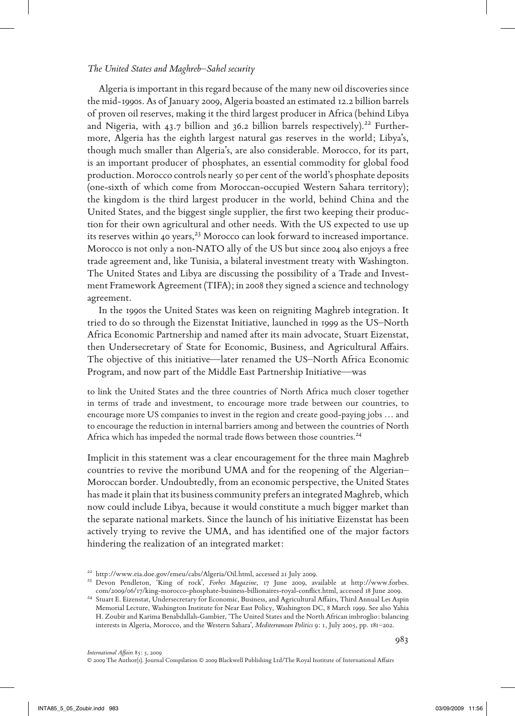Algeria is important in this regard because of the many new oil discoveries since the mid-1990s. As of January 2009, Algeria boasted an estimated 12.2 billion barrels of proven oil reserves, making it the third largest producer in Africa (behind Libya and Nigeria, with  $43.7$  billion and  $36.2$  billion barrels respectively).<sup>22</sup> Furthermore, Algeria has the eighth largest natural gas reserves in the world; Libya's, though much smaller than Algeria's, are also considerable. Morocco, for its part, is an important producer of phosphates, an essential commodity for global food production. Morocco controls nearly 50 per cent of the world's phosphate deposits (one-sixth of which come from Moroccan-occupied Western Sahara territory); the kingdom is the third largest producer in the world, behind China and the United States, and the biggest single supplier, the first two keeping their production for their own agricultural and other needs. With the US expected to use up its reserves within 40 years, $^{23}$  Morocco can look forward to increased importance. Morocco is not only a non-NATO ally of the US but since 2004 also enjoys a free trade agreement and, like Tunisia, a bilateral investment treaty with Washington. The United States and Libya are discussing the possibility of a Trade and Investment Framework Agreement (TIFA); in 2008 they signed a science and technology agreement.

In the 1990s the United States was keen on reigniting Maghreb integration. It tried to do so through the Eizenstat Initiative, launched in 1999 as the US–North Africa Economic Partnership and named after its main advocate, Stuart Eizenstat, then Undersecretary of State for Economic, Business, and Agricultural Affairs. The objective of this initiative—later renamed the US–North Africa Economic Program, and now part of the Middle East Partnership Initiative—was

to link the United States and the three countries of North Africa much closer together in terms of trade and investment, to encourage more trade between our countries, to encourage more US companies to invest in the region and create good-paying jobs … and to encourage the reduction in internal barriers among and between the countries of North Africa which has impeded the normal trade flows between those countries.<sup>24</sup>

Implicit in this statement was a clear encouragement for the three main Maghreb countries to revive the moribund UMA and for the reopening of the Algerian– Moroccan border. Undoubtedly, from an economic perspective, the United States has made it plain that its business community prefers an integrated Maghreb, which now could include Libya, because it would constitute a much bigger market than the separate national markets. Since the launch of his initiative Eizenstat has been actively trying to revive the UMA, and has identified one of the major factors hindering the realization of an integrated market:

*International Affairs* 85: 5, 2009

<sup>22</sup> http://www.eia.doe.gov/emeu/cabs/Algeria/Oil.html, accessed 21 July 2009. <sup>23</sup> Devon Pendleton, 'King of rock', *Forbes Magazine*, 17 June 2009, available at http://www.forbes. com/2009/06/17/king-morocco-phosphate-business-billionaires-royal-conflict.html, accessed 18 June 2009. <sup>24</sup> Stuart E. Eizenstat, Undersecretary for Economic, Business, and Agricultural Affairs, Third Annual Les Aspin

Memorial Lecture, Washington Institute for Near East Policy, Washington DC, 8 March 1999. See also Yahia H. Zoubir and Karima Benabdallah-Gambier, 'The United States and the North African imbroglio: balancing interests in Algeria, Morocco, and the Western Sahara', *Mediterranean Politics* 9: 1, July 2005, pp. 181–202.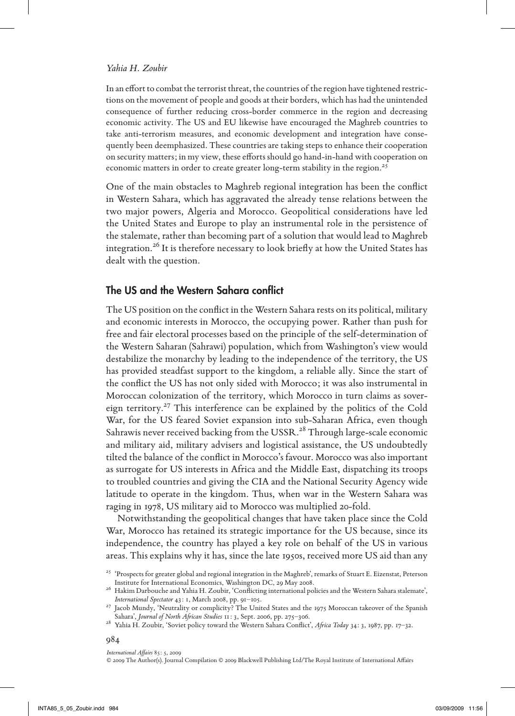In an effort to combat the terrorist threat, the countries of the region have tightened restrictions on the movement of people and goods at their borders, which has had the unintended consequence of further reducing cross-border commerce in the region and decreasing economic activity. The US and EU likewise have encouraged the Maghreb countries to take anti-terrorism measures, and economic development and integration have consequently been deemphasized. These countries are taking steps to enhance their cooperation on security matters; in my view, these efforts should go hand-in-hand with cooperation on economic matters in order to create greater long-term stability in the region.<sup>25</sup>

One of the main obstacles to Maghreb regional integration has been the conflict in Western Sahara, which has aggravated the already tense relations between the two major powers, Algeria and Morocco. Geopolitical considerations have led the United States and Europe to play an instrumental role in the persistence of the stalemate, rather than becoming part of a solution that would lead to Maghreb integration.<sup>26</sup> It is therefore necessary to look briefly at how the United States has dealt with the question.

# The US and the Western Sahara conflict

The US position on the conflict in the Western Sahara rests on its political, military and economic interests in Morocco, the occupying power. Rather than push for free and fair electoral processes based on the principle of the self-determination of the Western Saharan (Sahrawi) population, which from Washington's view would destabilize the monarchy by leading to the independence of the territory, the US has provided steadfast support to the kingdom, a reliable ally. Since the start of the conflict the US has not only sided with Morocco; it was also instrumental in Moroccan colonization of the territory, which Morocco in turn claims as sovereign territory.<sup>27</sup> This interference can be explained by the politics of the Cold War, for the US feared Soviet expansion into sub-Saharan Africa, even though Sahrawis never received backing from the USSR.<sup>28</sup> Through large-scale economic and military aid, military advisers and logistical assistance, the US undoubtedly tilted the balance of the conflict in Morocco's favour. Morocco was also important as surrogate for US interests in Africa and the Middle East, dispatching its troops to troubled countries and giving the CIA and the National Security Agency wide latitude to operate in the kingdom. Thus, when war in the Western Sahara was raging in 1978, US military aid to Morocco was multiplied 20-fold.

Notwithstanding the geopolitical changes that have taken place since the Cold War, Morocco has retained its strategic importance for the US because, since its independence, the country has played a key role on behalf of the US in various areas. This explains why it has, since the late 1950s, received more US aid than any

<sup>&</sup>lt;sup>25</sup> 'Prospects for greater global and regional integration in the Maghreb', remarks of Stuart E. Eizenstat, Peterson

Institute for International Economics, Washington DC, 29 May 2008.<br><sup>26</sup> Hakim Darbouche and Yahia H. Zoubir, 'Conflicting international policies and the Western Sahara stalemate',<br>*International Spectator* 43: 1, March 20

<sup>&</sup>lt;sup>27</sup> Jacob Mundy, 'Neutrality or complicity? The United States and the 1975 Moroccan takeover of the Spanish Sahara', *Journal of North African Studies* 11: 3, Sept. 2006, pp. 275–306. <sup>28</sup> Yahia H. Zoubir, 'Soviet policy toward the Western Sahara Conflict', *Africa Today* 34: 3, 1987, pp. 17–32.

*International Affairs* 85: 5, 2009

<sup>© 2009</sup> The Author(s). Journal Compilation © 2009 Blackwell Publishing Ltd/The Royal Institute of International Affairs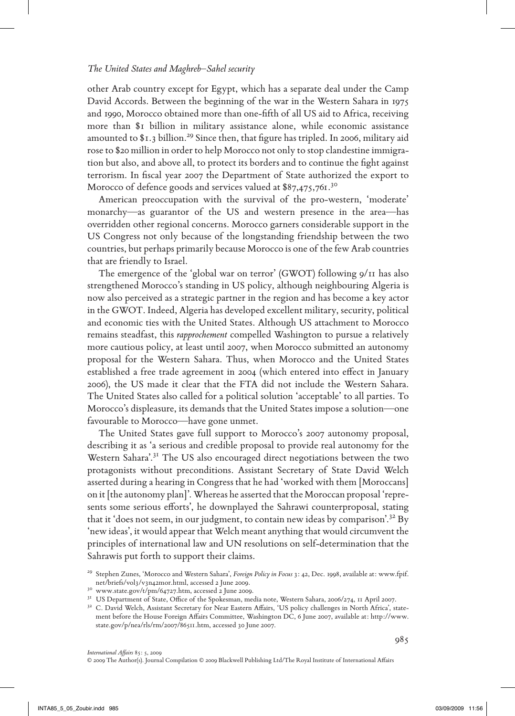other Arab country except for Egypt, which has a separate deal under the Camp David Accords. Between the beginning of the war in the Western Sahara in 1975 and 1990, Morocco obtained more than one-fifth of all US aid to Africa, receiving more than \$1 billion in military assistance alone, while economic assistance amounted to  $I.3$  billion.<sup>29</sup> Since then, that figure has tripled. In 2006, military aid rose to \$20 million in order to help Morocco not only to stop clandestine immigration but also, and above all, to protect its borders and to continue the fight against terrorism. In fiscal year 2007 the Department of State authorized the export to Morocco of defence goods and services valued at \$87,475,761.<sup>30</sup>

American preoccupation with the survival of the pro-western, 'moderate' monarchy—as guarantor of the US and western presence in the area—has overridden other regional concerns. Morocco garners considerable support in the US Congress not only because of the longstanding friendship between the two countries, but perhaps primarily because Morocco is one of the few Arab countries that are friendly to Israel.

The emergence of the 'global war on terror' (GWOT) following 9/11 has also strengthened Morocco's standing in US policy, although neighbouring Algeria is now also perceived as a strategic partner in the region and has become a key actor in the GWOT. Indeed, Algeria has developed excellent military, security, political and economic ties with the United States. Although US attachment to Morocco remains steadfast, this *rapprochement* compelled Washington to pursue a relatively more cautious policy, at least until 2007, when Morocco submitted an autonomy proposal for the Western Sahara. Thus, when Morocco and the United States established a free trade agreement in 2004 (which entered into effect in January 2006), the US made it clear that the FTA did not include the Western Sahara. The United States also called for a political solution 'acceptable' to all parties. To Morocco's displeasure, its demands that the United States impose a solution—one favourable to Morocco—have gone unmet.

The United States gave full support to Morocco's 2007 autonomy proposal, describing it as 'a serious and credible proposal to provide real autonomy for the Western Sahara'.31 The US also encouraged direct negotiations between the two protagonists without preconditions. Assistant Secretary of State David Welch asserted during a hearing in Congress that he had 'worked with them [Moroccans] on it [the autonomy plan]'. Whereas he asserted that the Moroccan proposal 'represents some serious efforts', he downplayed the Sahrawi counterproposal, stating that it 'does not seem, in our judgment, to contain new ideas by comparison'.<sup>32</sup> By 'new ideas', it would appear that Welch meant anything that would circumvent the principles of international law and UN resolutions on self-determination that the Sahrawis put forth to support their claims.

*International Affairs* 85: 5, 2009

© 2009 The Author(s). Journal Compilation © 2009 Blackwell Publishing Ltd/The Royal Institute of International Affairs

<sup>29</sup> Stephen Zunes, 'Morocco and Western Sahara', *Foreign Policy in Focus* 3: 42, Dec. 1998, available at: www.fpif. net/briefs/vol3/v3n42mor.html, accessed 2 June 2009.<br><sup>30</sup> www.state.gov/t/pm/64727.htm, accessed 2 June 2009.<br><sup>31</sup> US Department of State, Office of the Spokesman, media note, Western Sahara, 2006/274, 11 April 2007.<br><sup>32</sup>

ment before the House Foreign Affairs Committee, Washington DC, 6 June 2007, available at: http://www. state.gov/p/nea/rls/rm/2007/86511.htm, accessed 30 June 2007.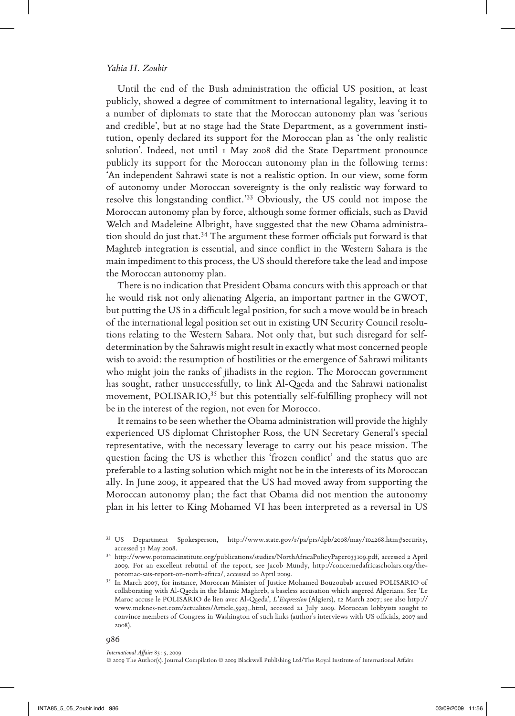Until the end of the Bush administration the official US position, at least publicly, showed a degree of commitment to international legality, leaving it to a number of diplomats to state that the Moroccan autonomy plan was 'serious and credible', but at no stage had the State Department, as a government institution, openly declared its support for the Moroccan plan as 'the only realistic solution'. Indeed, not until 1 May 2008 did the State Department pronounce publicly its support for the Moroccan autonomy plan in the following terms: 'An independent Sahrawi state is not a realistic option. In our view, some form of autonomy under Moroccan sovereignty is the only realistic way forward to resolve this longstanding conflict.'33 Obviously, the US could not impose the Moroccan autonomy plan by force, although some former officials, such as David Welch and Madeleine Albright, have suggested that the new Obama administration should do just that.<sup>34</sup> The argument these former officials put forward is that Maghreb integration is essential, and since conflict in the Western Sahara is the main impediment to this process, the US should therefore take the lead and impose the Moroccan autonomy plan.

There is no indication that President Obama concurs with this approach or that he would risk not only alienating Algeria, an important partner in the GWOT, but putting the US in a difficult legal position, for such a move would be in breach of the international legal position set out in existing UN Security Council resolutions relating to the Western Sahara. Not only that, but such disregard for selfdetermination by the Sahrawis might result in exactly what most concerned people wish to avoid: the resumption of hostilities or the emergence of Sahrawi militants who might join the ranks of jihadists in the region. The Moroccan government has sought, rather unsuccessfully, to link Al-Qaeda and the Sahrawi nationalist movement, POLISARIO,<sup>35</sup> but this potentially self-fulfilling prophecy will not be in the interest of the region, not even for Morocco.

It remains to be seen whether the Obama administration will provide the highly experienced US diplomat Christopher Ross, the UN Secretary General's special representative, with the necessary leverage to carry out his peace mission. The question facing the US is whether this 'frozen conflict' and the status quo are preferable to a lasting solution which might not be in the interests of its Moroccan ally. In June 2009, it appeared that the US had moved away from supporting the Moroccan autonomy plan; the fact that Obama did not mention the autonomy plan in his letter to King Mohamed VI has been interpreted as a reversal in US

#### 986

#### *International Affairs* 85: 5, 2009

<sup>33</sup> US Department Spokesperson, http://www.state.gov/r/pa/prs/dpb/2008/may/104268.htm#security, accessed 31 May 2008. <sup>34</sup> http://www.potomacinstitute.org/publications/studies/NorthAfricaPolicyPaper033109.pdf, accessed 2 April

<sup>2009.</sup> For an excellent rebuttal of the report, see Jacob Mundy, http://concernedafricascholars.org/thepotomac-sais-report-on-north-africa/, accessed 20 April 2009. <sup>35</sup> In March 2007, for instance, Moroccan Minister of Justice Mohamed Bouzoubab accused POLISARIO of

collaborating with Al-Qaeda in the Islamic Maghreb, a baseless accusation which angered Algerians. See 'Le Maroc accuse le POLISARIO de lien avec Al-Qaeda', *L'Expression* (Algiers), 12 March 2007; see also http:// www.meknes-net.com/actualites/Article,5923,.html, accessed 21 July 2009. Moroccan lobbyists sought to convince members of Congress in Washington of such links (author's interviews with US officials, 2007 and 2008).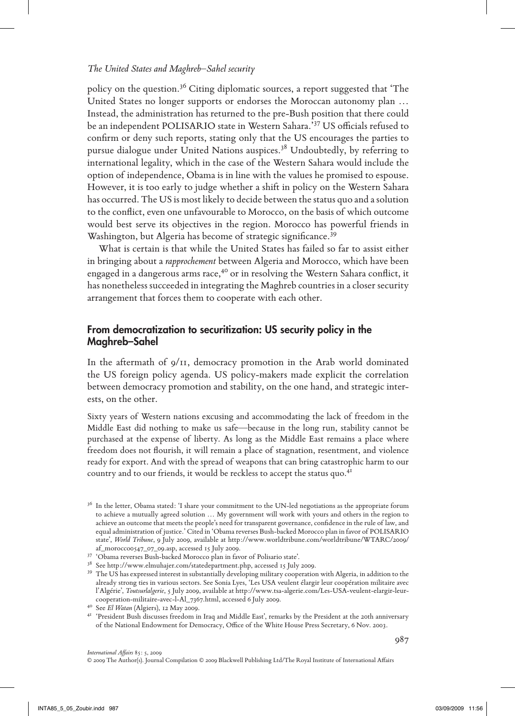policy on the question.36 Citing diplomatic sources, a report suggested that 'The United States no longer supports or endorses the Moroccan autonomy plan … Instead, the administration has returned to the pre-Bush position that there could be an independent POLISARIO state in Western Sahara.'37 US officials refused to confirm or deny such reports, stating only that the US encourages the parties to pursue dialogue under United Nations auspices.<sup>38</sup> Undoubtedly, by referring to international legality, which in the case of the Western Sahara would include the option of independence, Obama is in line with the values he promised to espouse. However, it is too early to judge whether a shift in policy on the Western Sahara has occurred. The US is most likely to decide between the status quo and a solution to the conflict, even one unfavourable to Morocco, on the basis of which outcome would best serve its objectives in the region. Morocco has powerful friends in Washington, but Algeria has become of strategic significance.<sup>39</sup>

What is certain is that while the United States has failed so far to assist either in bringing about a *rapprochement* between Algeria and Morocco, which have been engaged in a dangerous arms race,<sup>40</sup> or in resolving the Western Sahara conflict, it has nonetheless succeeded in integrating the Maghreb countries in a closer security arrangement that forces them to cooperate with each other.

# From democratization to securitization: US security policy in the Maghreb–Sahel

In the aftermath of 9/11, democracy promotion in the Arab world dominated the US foreign policy agenda. US policy-makers made explicit the correlation between democracy promotion and stability, on the one hand, and strategic interests, on the other.

Sixty years of Western nations excusing and accommodating the lack of freedom in the Middle East did nothing to make us safe—because in the long run, stability cannot be purchased at the expense of liberty. As long as the Middle East remains a place where freedom does not flourish, it will remain a place of stagnation, resentment, and violence ready for export. And with the spread of weapons that can bring catastrophic harm to our country and to our friends, it would be reckless to accept the status quo.<sup>41</sup>

*International Affairs* 85: 5, 2009

<sup>&</sup>lt;sup>36</sup> In the letter, Obama stated: 'I share your commitment to the UN-led negotiations as the appropriate forum to achieve a mutually agreed solution … My government will work with yours and others in the region to achieve an outcome that meets the people's need for transparent governance, confidence in the rule of law, and equal administration of justice.' Cited in 'Obama reverses Bush-backed Morocco plan in favor of POLISARIO state', *World Tribune*, 9 July 2009, available at http://www.worldtribune.com/worldtribune/WTARC/2009/ af\_moroccoo547\_07\_09.asp, accessed 15 July 2009.<br>
<sup>37</sup> 'Obama reverses Bush-backed Morocco plan in favor of Polisario state'.<br>
<sup>38</sup> See http://www.elmuhajer.com/statedepartment.php, accessed 15 July 2009.<br>
<sup>39</sup> The US has

already strong ties in various sectors. See Sonia Lyes, 'Les USA veulent élargir leur coopération militaire avec l'Algérie', *Toutsurlalgerie*, 5 July 2009, available at http://www.tsa-algerie.com/Les-USA-veulent-elargir-leur-

<sup>&</sup>lt;sup>40</sup> See *El Watan* (Algiers), 12 May 2009. 40 See *El Watan* (Algiers), 12 May 2009. 41 'President Bush discusses freedom in Iraq and Middle East', remarks by the President at the 20th anniversary of the National Endowment for Democracy, Office of the White House Press Secretary, 6 Nov. 2003.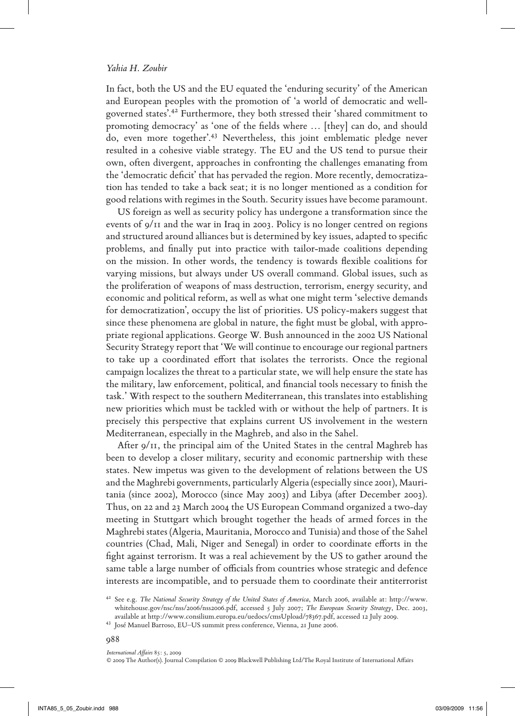In fact, both the US and the EU equated the 'enduring security' of the American and European peoples with the promotion of 'a world of democratic and wellgoverned states'.42 Furthermore, they both stressed their 'shared commitment to promoting democracy' as 'one of the fields where … [they] can do, and should do, even more together'.43 Nevertheless, this joint emblematic pledge never resulted in a cohesive viable strategy. The EU and the US tend to pursue their own, often divergent, approaches in confronting the challenges emanating from the 'democratic deficit' that has pervaded the region. More recently, democratization has tended to take a back seat; it is no longer mentioned as a condition for good relations with regimes in the South. Security issues have become paramount.

US foreign as well as security policy has undergone a transformation since the events of 9/11 and the war in Iraq in 2003. Policy is no longer centred on regions and structured around alliances but is determined by key issues, adapted to specific problems, and finally put into practice with tailor-made coalitions depending on the mission. In other words, the tendency is towards flexible coalitions for varying missions, but always under US overall command. Global issues, such as the proliferation of weapons of mass destruction, terrorism, energy security, and economic and political reform, as well as what one might term 'selective demands for democratization', occupy the list of priorities. US policy-makers suggest that since these phenomena are global in nature, the fight must be global, with appropriate regional applications. George W. Bush announced in the 2002 US National Security Strategy report that 'We will continue to encourage our regional partners to take up a coordinated effort that isolates the terrorists. Once the regional campaign localizes the threat to a particular state, we will help ensure the state has the military, law enforcement, political, and financial tools necessary to finish the task.' With respect to the southern Mediterranean, this translates into establishing new priorities which must be tackled with or without the help of partners. It is precisely this perspective that explains current US involvement in the western Mediterranean, especially in the Maghreb, and also in the Sahel.

After 9/11, the principal aim of the United States in the central Maghreb has been to develop a closer military, security and economic partnership with these states. New impetus was given to the development of relations between the US and the Maghrebi governments, particularly Algeria (especially since 2001), Mauritania (since 2002), Morocco (since May 2003) and Libya (after December 2003). Thus, on 22 and 23 March 2004 the US European Command organized a two-day meeting in Stuttgart which brought together the heads of armed forces in the Maghrebi states (Algeria, Mauritania, Morocco and Tunisia) and those of the Sahel countries (Chad, Mali, Niger and Senegal) in order to coordinate efforts in the fight against terrorism. It was a real achievement by the US to gather around the same table a large number of officials from countries whose strategic and defence interests are incompatible, and to persuade them to coordinate their antiterrorist

<sup>42</sup> See e.g. *The National Security Strategy of the United States of America*, March 2006, available at: http://www. whitehouse.gov/nsc/nss/2006/nss2006.pdf, accessed 5 July 2007; *The European Security Strategy*, Dec. 2003,

available at http://www.consilium.europa.eu/uedocs/cmsUpload/78367.pdf, accessed 12 July 2009. <sup>43</sup> José Manuel Barroso, EU–US summit press conference, Vienna, 21 June 2006.

## 988

*International Affairs* 85: 5, 2009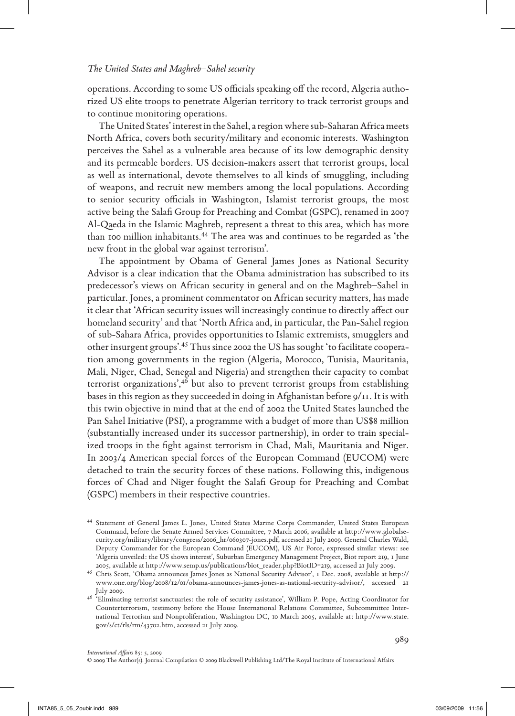operations. According to some US officials speaking off the record, Algeria authorized US elite troops to penetrate Algerian territory to track terrorist groups and to continue monitoring operations.

The United States' interest in the Sahel, a region where sub-Saharan Africa meets North Africa, covers both security/military and economic interests. Washington perceives the Sahel as a vulnerable area because of its low demographic density and its permeable borders. US decision-makers assert that terrorist groups, local as well as international, devote themselves to all kinds of smuggling, including of weapons, and recruit new members among the local populations. According to senior security officials in Washington, Islamist terrorist groups, the most active being the Salafi Group for Preaching and Combat (GSPC), renamed in 2007 Al-Qaeda in the Islamic Maghreb, represent a threat to this area, which has more than 100 million inhabitants.<sup>44</sup> The area was and continues to be regarded as 'the new front in the global war against terrorism'.

The appointment by Obama of General James Jones as National Security Advisor is a clear indication that the Obama administration has subscribed to its predecessor's views on African security in general and on the Maghreb–Sahel in particular. Jones, a prominent commentator on African security matters, has made it clear that 'African security issues will increasingly continue to directly affect our homeland security' and that 'North Africa and, in particular, the Pan-Sahel region of sub-Sahara Africa, provides opportunities to Islamic extremists, smugglers and other insurgent groups'.45 Thus since 2002 the US has sought 'to facilitate cooperation among governments in the region (Algeria, Morocco, Tunisia, Mauritania, Mali, Niger, Chad, Senegal and Nigeria) and strengthen their capacity to combat terrorist organizations', $^{46}$  but also to prevent terrorist groups from establishing bases in this region as they succeeded in doing in Afghanistan before 9/11. It is with this twin objective in mind that at the end of 2002 the United States launched the Pan Sahel Initiative (PSI), a programme with a budget of more than US\$8 million (substantially increased under its successor partnership), in order to train specialized troops in the fight against terrorism in Chad, Mali, Mauritania and Niger. In 2003/4 American special forces of the European Command (EUCOM) were detached to train the security forces of these nations. Following this, indigenous forces of Chad and Niger fought the Salafi Group for Preaching and Combat (GSPC) members in their respective countries.

989

*International Affairs* 85: 5, 2009

<sup>44</sup> Statement of General James L. Jones, United States Marine Corps Commander, United States European Command, before the Senate Armed Services Committee, 7 March 2006, available at http://www.globalsecurity.org/military/library/congress/2006\_hr/060307-jones.pdf, accessed 21 July 2009. General Charles Wald, Deputy Commander for the European Command (EUCOM), US Air Force, expressed similar views: see 'Algeria unveiled: the US shows interest', Suburban Emergency Management Project, Biot report 219, 1 June<br>2005, available at http://www.semp.us/publications/biot\_reader.php?BiotID=219, accessed 21 July 2009.

<sup>&</sup>lt;sup>45</sup> Chris Scott, 'Obama announces James Jones as National Security Advisor', 1 Dec. 2008, available at http:// www.one.org/blog/2008/12/01/obama-announces-james-jones-as-national-security-advisor/, accessed 21

July 2009. <sup>46</sup> 'Eliminating terrorist sanctuaries: the role of security assistance', William P. Pope, Acting Coordinator for Counterterrorism, testimony before the House International Relations Committee, Subcommittee International Terrorism and Nonproliferation, Washington DC, 10 March 2005, available at: http://www.state. gov/s/ct/rls/rm/43702.htm, accessed 21 July 2009.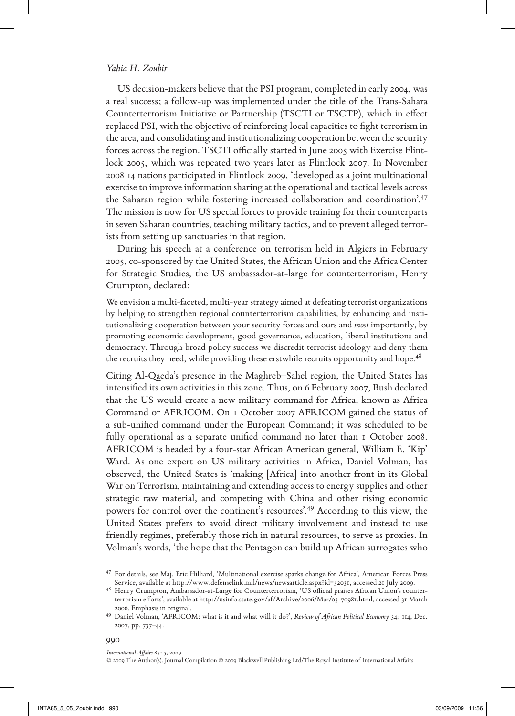US decision-makers believe that the PSI program, completed in early 2004, was a real success; a follow-up was implemented under the title of the Trans-Sahara Counterterrorism Initiative or Partnership (TSCTI or TSCTP), which in effect replaced PSI, with the objective of reinforcing local capacities to fight terrorism in the area, and consolidating and institutionalizing cooperation between the security forces across the region. TSCTI officially started in June 2005 with Exercise Flintlock 2005, which was repeated two years later as Flintlock 2007. In November 2008 14 nations participated in Flintlock 2009, 'developed as a joint multinational exercise to improve information sharing at the operational and tactical levels across the Saharan region while fostering increased collaboration and coordination'.<sup>47</sup> The mission is now for US special forces to provide training for their counterparts in seven Saharan countries, teaching military tactics, and to prevent alleged terrorists from setting up sanctuaries in that region.

During his speech at a conference on terrorism held in Algiers in February 2005, co-sponsored by the United States, the African Union and the Africa Center for Strategic Studies, the US ambassador-at-large for counterterrorism, Henry Crumpton, declared:

We envision a multi-faceted, multi-year strategy aimed at defeating terrorist organizations by helping to strengthen regional counterterrorism capabilities, by enhancing and institutionalizing cooperation between your security forces and ours and *most* importantly, by promoting economic development, good governance, education, liberal institutions and democracy. Through broad policy success we discredit terrorist ideology and deny them the recruits they need, while providing these erstwhile recruits opportunity and hope. $48$ 

Citing Al-Qaeda's presence in the Maghreb–Sahel region, the United States has intensified its own activities in this zone. Thus, on 6 February 2007, Bush declared that the US would create a new military command for Africa, known as Africa Command or AFRICOM. On 1 October 2007 AFRICOM gained the status of a sub-unified command under the European Command; it was scheduled to be fully operational as a separate unified command no later than 1 October 2008. AFRICOM is headed by a four-star African American general, William E. 'Kip' Ward. As one expert on US military activities in Africa, Daniel Volman, has observed, the United States is 'making [Africa] into another front in its Global War on Terrorism, maintaining and extending access to energy supplies and other strategic raw material, and competing with China and other rising economic powers for control over the continent's resources'.49 According to this view, the United States prefers to avoid direct military involvement and instead to use friendly regimes, preferably those rich in natural resources, to serve as proxies. In Volman's words, 'the hope that the Pentagon can build up African surrogates who

#### 990

#### *International Affairs* 85: 5, 2009

<sup>47</sup> For details, see Maj. Eric Hilliard, 'Multinational exercise sparks change for Africa', American Forces Press

Service, available at http://www.defenselink.mil/news/newsarticle.aspx?id=52031, accessed 21 July 2009. <sup>48</sup> Henry Crumpton, Ambassador-at-Large for Counterterrorism, 'US official praises African Union's counterterrorism efforts', available at http://usinfo.state.gov/af/Archive/2006/Mar/03-70981.html, accessed 31 March 2006. Emphasis in original. <sup>49</sup> Daniel Volman, 'AFRICOM: what is it and what will it do?', *Review of African Political Economy* 34: 114, Dec.

<sup>2007,</sup> pp. 737–44.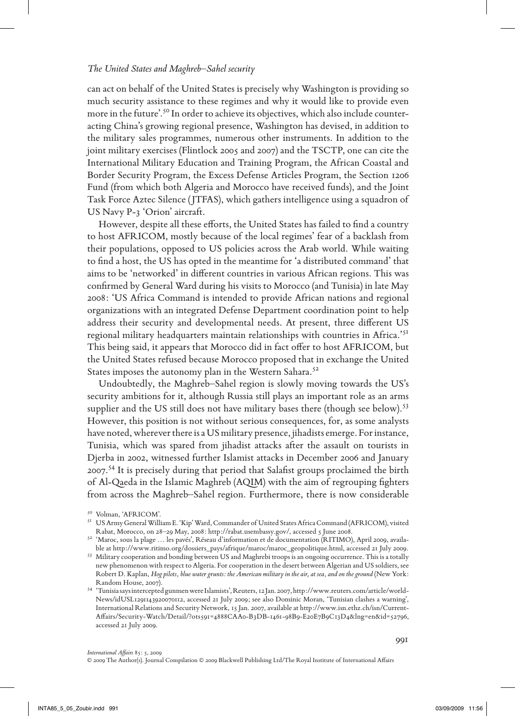can act on behalf of the United States is precisely why Washington is providing so much security assistance to these regimes and why it would like to provide even more in the future'.<sup>50</sup> In order to achieve its objectives, which also include counteracting China's growing regional presence, Washington has devised, in addition to the military sales programmes, numerous other instruments. In addition to the joint military exercises (Flintlock 2005 and 2007) and the TSCTP, one can cite the International Military Education and Training Program, the African Coastal and Border Security Program, the Excess Defense Articles Program, the Section 1206 Fund (from which both Algeria and Morocco have received funds), and the Joint Task Force Aztec Silence ( JTFAS), which gathers intelligence using a squadron of US Navy P-3 'Orion' aircraft.

However, despite all these efforts, the United States has failed to find a country to host AFRICOM, mostly because of the local regimes' fear of a backlash from their populations, opposed to US policies across the Arab world. While waiting to find a host, the US has opted in the meantime for 'a distributed command' that aims to be 'networked' in different countries in various African regions. This was confirmed by General Ward during his visits to Morocco (and Tunisia) in late May 2008: 'US Africa Command is intended to provide African nations and regional organizations with an integrated Defense Department coordination point to help address their security and developmental needs. At present, three different US regional military headquarters maintain relationships with countries in Africa.'<sup>51</sup> This being said, it appears that Morocco did in fact offer to host AFRICOM, but the United States refused because Morocco proposed that in exchange the United States imposes the autonomy plan in the Western Sahara.<sup>52</sup>

Undoubtedly, the Maghreb–Sahel region is slowly moving towards the US's security ambitions for it, although Russia still plays an important role as an arms supplier and the US still does not have military bases there (though see below).<sup>53</sup> However, this position is not without serious consequences, for, as some analysts have noted, wherever there is a US military presence, jihadists emerge. For instance, Tunisia, which was spared from jihadist attacks after the assault on tourists in Djerba in 2002, witnessed further Islamist attacks in December 2006 and January 2007.54 It is precisely during that period that Salafist groups proclaimed the birth of Al-Qaeda in the Islamic Maghreb (AQIM) with the aim of regrouping fighters from across the Maghreb–Sahel region. Furthermore, there is now considerable

 $50$  Volman, 'AFRICOM'.<br> $51$  US Army General William E. 'Kip' Ward, Commander of United States Africa Command (AFRICOM), visited

Rabat, Morocco, on 28–29 May, 2008: http://rabat.usembassy.gov/, accessed 5 June 2008. <sup>52</sup> 'Maroc, sous la plage … les pavés', Réseau d'information et de documentation (RITIMO), April 2009, available at http://www.ritimo.org/dossiers\_pays/afrique/maroc/maroc\_geopolitique.html, accessed 21 July 2009. <sup>53</sup> Military cooperation and bonding between US and Maghrebi troops is an ongoing occurrence. This is a totally

new phenomenon with respect to Algeria. For cooperation in the desert between Algerian and US soldiers, see Robert D. Kaplan, *Hog pilots, blue water grunts: the American military in the air, at sea, and on the ground* (New York: Random House, 2007). 54 'Tunisia says intercepted gunmen were Islamists', Reuters, 12 Jan. 2007, http://www.reuters.com/article/world-

News/idUSL1291143920070112, accessed 21 July 2009; see also Dominic Moran, 'Tunisian clashes a warning', International Relations and Security Network, 15 Jan. 2007, available at http://www.isn.ethz.ch/isn/Current-Affairs/Security-Watch/Detail/?ots591=4888CAA0-B3DB-1461-98B9-E20E7B9C13D4&lng=en&id=52796, accessed 21 July 2009.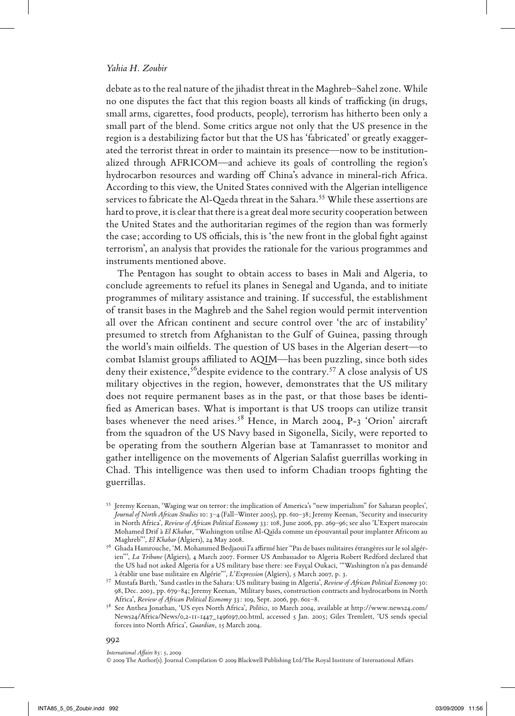debate as to the real nature of the jihadist threat in the Maghreb–Sahel zone. While no one disputes the fact that this region boasts all kinds of trafficking (in drugs, small arms, cigarettes, food products, people), terrorism has hitherto been only a small part of the blend. Some critics argue not only that the US presence in the region is a destabilizing factor but that the US has 'fabricated' or greatly exaggerated the terrorist threat in order to maintain its presence—now to be institutionalized through AFRICOM—and achieve its goals of controlling the region's hydrocarbon resources and warding off China's advance in mineral-rich Africa. According to this view, the United States connived with the Algerian intelligence services to fabricate the Al-Qaeda threat in the Sahara.<sup>55</sup> While these assertions are hard to prove, it is clear that there is a great deal more security cooperation between the United States and the authoritarian regimes of the region than was formerly the case; according to US officials, this is 'the new front in the global fight against terrorism', an analysis that provides the rationale for the various programmes and instruments mentioned above.

The Pentagon has sought to obtain access to bases in Mali and Algeria, to conclude agreements to refuel its planes in Senegal and Uganda, and to initiate programmes of military assistance and training. If successful, the establishment of transit bases in the Maghreb and the Sahel region would permit intervention all over the African continent and secure control over 'the arc of instability' presumed to stretch from Afghanistan to the Gulf of Guinea, passing through the world's main oilfields. The question of US bases in the Algerian desert—to combat Islamist groups affiliated to AQIM—has been puzzling, since both sides deny their existence,<sup>56</sup>despite evidence to the contrary.<sup>57</sup> A close analysis of US military objectives in the region, however, demonstrates that the US military does not require permanent bases as in the past, or that those bases be identified as American bases. What is important is that US troops can utilize transit bases whenever the need arises.<sup>58</sup> Hence, in March 2004, P-3 'Orion' aircraft from the squadron of the US Navy based in Sigonella, Sicily, were reported to be operating from the southern Algerian base at Tamanrasset to monitor and gather intelligence on the movements of Algerian Salafist guerrillas working in Chad. This intelligence was then used to inform Chadian troops fighting the guerrillas.

<sup>&</sup>lt;sup>55</sup> Jeremy Keenan, 'Waging war on terror: the implication of America's "new imperialism" for Saharan peoples', *Journal of North African Studies* 10: 3–4 (Fall–Winter 2005), pp. 610–38; Jeremy Keenan, 'Security and insecurity in North Africa', *Review of African Political Economy* 33: 108, June 2006, pp. 269–96; see also 'L'Expert marocain Mohamed Drif à *El Khabar*, "Washington utilise Al-Qaïda comme un épouvantail pour implanter Africom au

<sup>&</sup>lt;sup>56</sup> Ghada Hamrouche, 'M. Mohammed Bedjaoui l'a affirmé hier "Pas de bases militaires étrangères sur le sol algérien"', *La Tribune* (Algiers), 4 March 2007. Former US Ambassador to Algeria Robert Redford declared that the US had not asked Algeria for a US military base there: see Fayçal Oukaci, '"Washington n'a pas demandé

à établir une base militaire en Algérie"', *L'Expression* (Algiers), 5 March 2007, p. 3. <sup>57</sup> Mustafa Barth, 'Sand castles in the Sahara: US military basing in Algeria', *Review of African Political Economy* 30: 98, Dec. 2003, pp. 679–84; Jeremy Keenan, 'Military bases, construction contracts and hydrocarbons in North<br>Africa', Review of African Political Economy 33: 109, Sept. 2006, pp. 601–8.

<sup>&</sup>lt;sup>58</sup> See Anthea Jonathan, 'US eyes North Africa', *Politics*, 10 March 2004, available at http://www.news24.com/ News24/Africa/News/0,2-11-1447\_1496197,00.html, accessed 5 Jan. 2005; Giles Tremlett, 'US sends special forces into North Africa', *Guardian*, 15 March 2004.

*International Affairs* 85: 5, 2009

<sup>© 2009</sup> The Author(s). Journal Compilation © 2009 Blackwell Publishing Ltd/The Royal Institute of International Affairs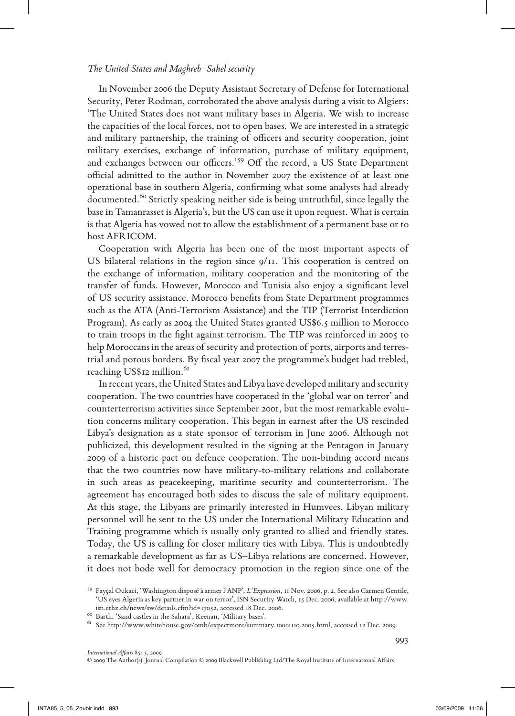In November 2006 the Deputy Assistant Secretary of Defense for International Security, Peter Rodman, corroborated the above analysis during a visit to Algiers: 'The United States does not want military bases in Algeria. We wish to increase the capacities of the local forces, not to open bases. We are interested in a strategic and military partnership, the training of officers and security cooperation, joint military exercises, exchange of information, purchase of military equipment, and exchanges between our officers.'59 Off the record, a US State Department official admitted to the author in November 2007 the existence of at least one operational base in southern Algeria, confirming what some analysts had already documented.60 Strictly speaking neither side is being untruthful, since legally the base in Tamanrasset is Algeria's, but the US can use it upon request. What is certain is that Algeria has vowed not to allow the establishment of a permanent base or to host AFRICOM.

Cooperation with Algeria has been one of the most important aspects of US bilateral relations in the region since 9/11. This cooperation is centred on the exchange of information, military cooperation and the monitoring of the transfer of funds. However, Morocco and Tunisia also enjoy a significant level of US security assistance. Morocco benefits from State Department programmes such as the ATA (Anti-Terrorism Assistance) and the TIP (Terrorist Interdiction Program). As early as 2004 the United States granted US\$6.5 million to Morocco to train troops in the fight against terrorism. The TIP was reinforced in 2005 to help Moroccans in the areas of security and protection of ports, airports and terrestrial and porous borders. By fiscal year 2007 the programme's budget had trebled, reaching US\$12 million.<sup>61</sup>

In recent years, the United States and Libya have developed military and security cooperation. The two countries have cooperated in the 'global war on terror' and counterterrorism activities since September 2001, but the most remarkable evolution concerns military cooperation. This began in earnest after the US rescinded Libya's designation as a state sponsor of terrorism in June 2006. Although not publicized, this development resulted in the signing at the Pentagon in January 2009 of a historic pact on defence cooperation. The non-binding accord means that the two countries now have military-to-military relations and collaborate in such areas as peacekeeping, maritime security and counterterrorism. The agreement has encouraged both sides to discuss the sale of military equipment. At this stage, the Libyans are primarily interested in Humvees. Libyan military personnel will be sent to the US under the International Military Education and Training programme which is usually only granted to allied and friendly states. Today, the US is calling for closer military ties with Libya. This is undoubtedly a remarkable development as far as US–Libya relations are concerned. However, it does not bode well for democracy promotion in the region since one of the

*International Affairs* 85: 5, 2009

<sup>59</sup> Fayçal Oukaci, 'Washington disposé à armer l'ANP', *L'Expression*, 11 Nov. 2006, p. 2. See also Carmen Gentile, 'US eyes Algeria as key partner in war on terror', ISN Security Watch, 15 Dec. 2006, available at http://www.

isn.ethz.ch/news/sw/details.cfm?id=17052, accessed 18 Dec. 2006.<br>
<sup>60</sup> Barth, 'Sand castles in the Sahara'; Keenan, 'Military bases'.<br>
<sup>61</sup> See http://www.whitehouse.gov/omb/expectmore/summary.10001110.2005.html, accessed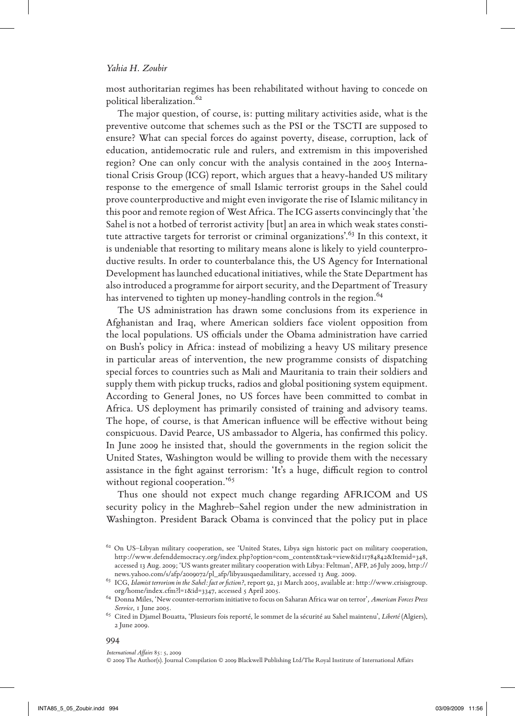most authoritarian regimes has been rehabilitated without having to concede on political liberalization.<sup>62</sup>

The major question, of course, is: putting military activities aside, what is the preventive outcome that schemes such as the PSI or the TSCTI are supposed to ensure? What can special forces do against poverty, disease, corruption, lack of education, antidemocratic rule and rulers, and extremism in this impoverished region? One can only concur with the analysis contained in the 2005 International Crisis Group (ICG) report, which argues that a heavy-handed US military response to the emergence of small Islamic terrorist groups in the Sahel could prove counterproductive and might even invigorate the rise of Islamic militancy in this poor and remote region of West Africa. The ICG asserts convincingly that 'the Sahel is not a hotbed of terrorist activity [but] an area in which weak states constitute attractive targets for terrorist or criminal organizations'.<sup>63</sup> In this context, it is undeniable that resorting to military means alone is likely to yield counterproductive results. In order to counterbalance this, the US Agency for International Development has launched educational initiatives, while the State Department has also introduced a programme for airport security, and the Department of Treasury has intervened to tighten up money-handling controls in the region.<sup>64</sup>

The US administration has drawn some conclusions from its experience in Afghanistan and Iraq, where American soldiers face violent opposition from the local populations. US officials under the Obama administration have carried on Bush's policy in Africa: instead of mobilizing a heavy US military presence in particular areas of intervention, the new programme consists of dispatching special forces to countries such as Mali and Mauritania to train their soldiers and supply them with pickup trucks, radios and global positioning system equipment. According to General Jones, no US forces have been committed to combat in Africa. US deployment has primarily consisted of training and advisory teams. The hope, of course, is that American influence will be effective without being conspicuous. David Pearce, US ambassador to Algeria, has confirmed this policy. In June 2009 he insisted that, should the governments in the region solicit the United States, Washington would be willing to provide them with the necessary assistance in the fight against terrorism: 'It's a huge, difficult region to control without regional cooperation.<sup>'65</sup>

Thus one should not expect much change regarding AFRICOM and US security policy in the Maghreb–Sahel region under the new administration in Washington. President Barack Obama is convinced that the policy put in place

#### 994

*International Affairs* 85: 5, 2009

 $62$  On US–Libyan military cooperation, see 'United States, Libya sign historic pact on military cooperation, http://www.defenddemocracy.org/index.php?option=com\_content&task=view&id11784842&Itemid=348, accessed 13 Aug. 2009; 'US wants greater military cooperation with Libya: Feltman', AFP, 26 July 2009, http://

news.yahoo.com/s/afp/2009072/pl\_afp/libyausqaedamilitary, accessed 13 Aug. 2009. <sup>63</sup> ICG, *Islamist terrorism in the Sahel: fact or fiction?*, report 92, 31 March 2005, available at: http://www.crisisgroup. org/home/index.cfm?l=1&id=3347, accessed 5 April 2005. <sup>64</sup> Donna Miles, 'New counter-terrorism initiative to focus on Saharan Africa war on terror'*, American Forces Press* 

*Service*, 1 June 2005. <sup>65</sup> Cited in Djamel Bouatta, 'Plusieurs fois reporté, le sommet de la sécurité au Sahel maintenu', *Liberté* (Algiers),

<sup>2</sup> June 2009.

<sup>© 2009</sup> The Author(s). Journal Compilation © 2009 Blackwell Publishing Ltd/The Royal Institute of International Affairs